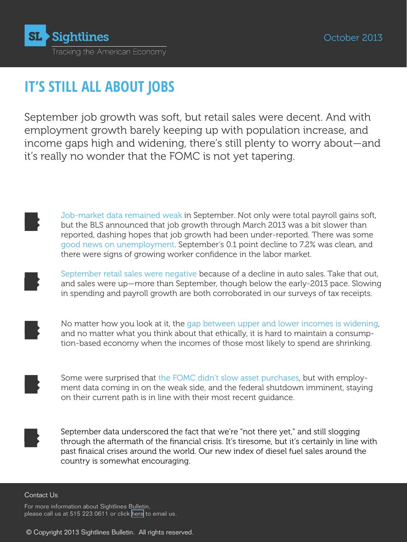

# **IT'S STILL ALL ABOUT JOBS**

September job growth was soft, but retail sales were decent. And with employment growth barely keeping up with population increase, and income gaps high and widening, there's still plenty to worry about—and it's really no wonder that the FOMC is not yet tapering.

Job-market data remained weak in September. Not only were total payroll gains soft, but the BLS announced that job growth through March 2013 was a bit slower than reported, dashing hopes that job growth had been under-reported. There was some good news on unemployment. September's 0.1 point decline to 7.2% was clean, and there were signs of growing worker confidence in the labor market.

September retail sales were negative because of a decline in auto sales. Take that out, and sales were up—more than September, though below the early-2013 pace. Slowing in spending and payroll growth are both corroborated in our surveys of tax receipts.

No matter how you look at it, the gap between upper and lower incomes is widening, and no matter what you think about that ethically, it is hard to maintain a consumption-based economy when the incomes of those most likely to spend are shrinking.

Some were surprised that the FOMC didn't slow asset purchases, but with employment data coming in on the weak side, and the federal shutdown imminent, staying on their current path is in line with their most recent guidance.

September data underscored the fact that we're "not there yet," and still slogging through the aftermath of the financial crisis. It's tiresome, but it's certainly in line with past finaical crises around the world. Our new index of diesel fuel sales around the country is somewhat encouraging.

#### Contact Us

For more information about Sightlines Bulletin, please call us at 515 223 0611 or click [here](mailto:philippa%40panix.com?subject=Sightlines%20query) to email us.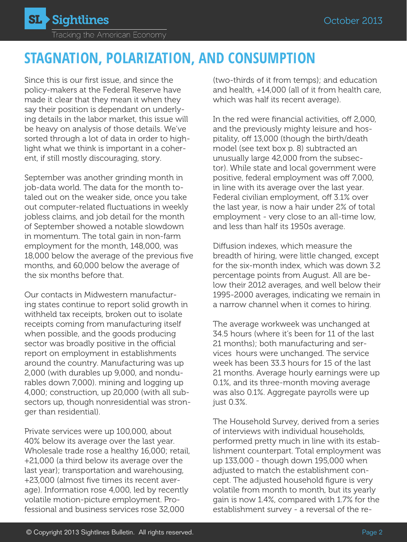

# **STAGNATION, POLARIZATION, AND CONSUMPTION**

Since this is our first issue, and since the policy-makers at the Federal Reserve have made it clear that they mean it when they say their position is dependant on underlying details in the labor market, this issue will be heavy on analysis of those details. We've sorted through a lot of data in order to highlight what we think is important in a coherent, if still mostly discouraging, story.

September was another grinding month in job-data world. The data for the month totaled out on the weaker side, once you take out computer-related fluctuations in weekly jobless claims, and job detail for the month of September showed a notable slowdown in momentum. The total gain in non-farm employment for the month, 148,000, was 18,000 below the average of the previous five months, and 60,000 below the average of the six months before that.

Our contacts in Midwestern manufacturing states continue to report solid growth in withheld tax receipts, broken out to isolate receipts coming from manufacturing itself when possible, and the goods producing sector was broadly positive in the official report on employment in establishments around the country. Manufacturing was up 2,000 (with durables up 9,000, and nondurables down 7,000). mining and logging up 4,000; construction, up 20,000 (with all subsectors up, though nonresidential was stronger than residential).

Private services were up 100,000, about 40% below its average over the last year. Wholesale trade rose a healthy 16,000; retail, +21,000 (a third below its average over the last year); transportation and warehousing, +23,000 (almost five times its recent average). Information rose 4,000, led by recently volatile motion-picture employment. Professional and business services rose 32,000

(two-thirds of it from temps); and education and health, +14,000 (all of it from health care, which was half its recent average).

In the red were financial activities, off 2,000, and the previously mighty leisure and hospitality, off 13,000 (though the birth/death model (see text box p. 8) subtracted an unusually large 42,000 from the subsector). While state and local government were positive, federal employment was off 7,000, in line with its average over the last year. Federal civilian employment, off 3.1% over the last year, is now a hair under 2% of total employment - very close to an all-time low, and less than half its 1950s average.

Diffusion indexes, which measure the breadth of hiring, were little changed, except for the six-month index, which was down 3.2 percentage points from August. All are below their 2012 averages, and well below their 1995-2000 averages, indicating we remain in a narrow channel when it comes to hiring.

The average workweek was unchanged at 34.5 hours (where it's been for 11 of the last 21 months); both manufacturing and services hours were unchanged. The service week has been 33.3 hours for 15 of the last 21 months. Average hourly earnings were up 0.1%, and its three-month moving average was also 0.1%. Aggregate payrolls were up just 0.3%.

The Household Survey, derived from a series of interviews with individual households, performed pretty much in line with its establishment counterpart. Total employment was up 133,000 - though down 195,000 when adjusted to match the establishment concept. The adjusted household figure is very volatile from month to month, but its yearly gain is now 1.4%, compared with 1.7% for the establishment survey - a reversal of the re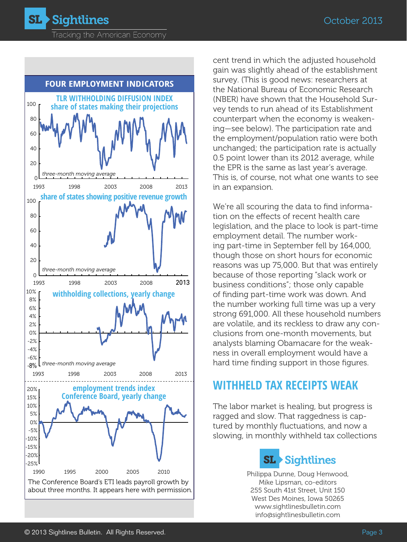Tracking the American Economy

**SL > Sightlines** 



cent trend in which the adjusted household gain was slightly ahead of the establishment survey. (This is good news: researchers at the National Bureau of Economic Research (NBER) have shown that the Household Survey tends to run ahead of its Establishment counterpart when the economy is weakening—see below). The participation rate and the employment/population ratio were both unchanged; the participation rate is actually 0.5 point lower than its 2012 average, while the EPR is the same as last year's average. This is, of course, not what one wants to see in an expansion.

We're all scouring the data to find information on the effects of recent health care legislation, and the place to look is part-time employment detail. The number working part-time in September fell by 164,000, though those on short hours for economic reasons was up 75,000. But that was entirely because of those reporting "slack work or business conditions"; those only capable of finding part-time work was down. And the number working full time was up a very strong 691,000. All these household numbers are volatile, and its reckless to draw any conclusions from one-month movements, but analysts blaming Obamacare for the weakness in overall employment would have a hard time finding support in those figures.

#### **Withheld tax receipts weak**

The labor market is healing, but progress is ragged and slow. That raggedness is captured by monthly fluctuations, and now a slowing, in monthly withheld tax collections



Philippa Dunne, Doug Henwood, Mike Lipsman, co-editors 255 South 41st Street, Unit 150 West Des Moines, Iowa 50265 [www.sightlinesbulletin.com](www.sightlines.com) info@sightlinesbulletin.com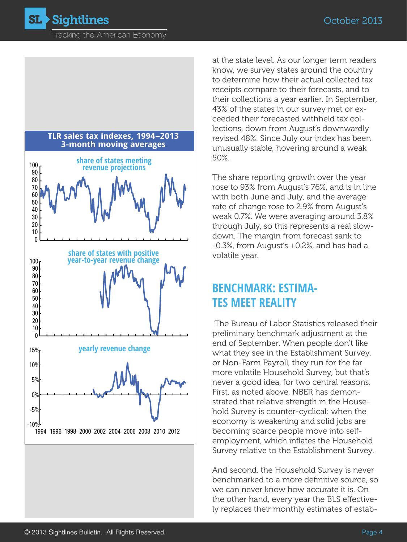Tracking the American Economy



at the state level. As our longer term readers know, we survey states around the country to determine how their actual collected tax receipts compare to their forecasts, and to their collections a year earlier. In September, 43% of the states in our survey met or exceeded their forecasted withheld tax collections, down from August's downwardly revised 48%. Since July our index has been unusually stable, hovering around a weak 50%.

The share reporting growth over the year rose to 93% from August's 76%, and is in line with both June and July, and the average rate of change rose to 2.9% from August's weak 0.7%. We were averaging around 3.8% through July, so this represents a real slowdown. The margin from forecast sank to -0.3%, from August's +0.2%, and has had a volatile year.

## **Benchmark: estimates meet reality**

 The Bureau of Labor Statistics released their preliminary benchmark adjustment at the end of September. When people don't like what they see in the Establishment Survey, or Non-Farm Payroll, they run for the far more volatile Household Survey, but that's never a good idea, for two central reasons. First, as noted above, NBER has demonstrated that relative strength in the Household Survey is counter-cyclical: when the economy is weakening and solid jobs are becoming scarce people move into selfemployment, which inflates the Household Survey relative to the Establishment Survey.

And second, the Household Survey is never benchmarked to a more definitive source, so we can never know how accurate it is. On the other hand, every year the BLS effectively replaces their monthly estimates of estab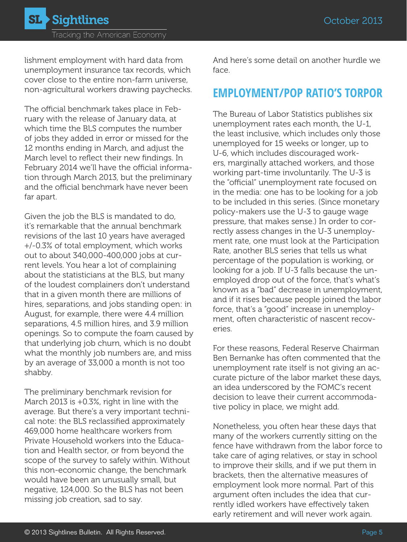lishment employment with hard data from unemployment insurance tax records, which cover close to the entire non-farm universe, non-agricultural workers drawing paychecks.

The official benchmark takes place in February with the release of January data, at which time the BLS computes the number of jobs they added in error or missed for the 12 months ending in March, and adjust the March level to reflect their new findings. In February 2014 we'll have the official information through March 2013, but the preliminary and the official benchmark have never been far apart.

Given the job the BLS is mandated to do, it's remarkable that the annual benchmark revisions of the last 10 years have averaged +/-0.3% of total employment, which works out to about 340,000-400,000 jobs at current levels. You hear a lot of complaining about the statisticians at the BLS, but many of the loudest complainers don't understand that in a given month there are millions of hires, separations, and jobs standing open: in August, for example, there were 4.4 million separations, 4.5 million hires, and 3.9 million openings. So to compute the foam caused by that underlying job churn, which is no doubt what the monthly job numbers are, and miss by an average of 33,000 a month is not too shabby.

The preliminary benchmark revision for March 2013 is +0.3%, right in line with the average. But there's a very important technical note: the BLS reclassified approximately 469,000 home healthcare workers from Private Household workers into the Education and Health sector, or from beyond the scope of the survey to safely within. Without this non-economic change, the benchmark would have been an unusually small, but negative, 124,000. So the BLS has not been missing job creation, sad to say.

And here's some detail on another hurdle we face.

### **EMPLOYMENT/POP RATIO'S TORPOR**

The Bureau of Labor Statistics publishes six unemployment rates each month, the U-1, the least inclusive, which includes only those unemployed for 15 weeks or longer, up to U-6, which includes discouraged workers, marginally attached workers, and those working part-time involuntarily. The U-3 is the "official" unemployment rate focused on in the media: one has to be looking for a job to be included in this series. (Since monetary policy-makers use the U-3 to gauge wage pressure, that makes sense.) In order to correctly assess changes in the U-3 unemployment rate, one must look at the Participation Rate, another BLS series that tells us what percentage of the population is working, or looking for a job. If U-3 falls because the unemployed drop out of the force, that's what's known as a "bad" decrease in unemployment, and if it rises because people joined the labor force, that's a "good" increase in unemployment, often characteristic of nascent recoveries.

For these reasons, Federal Reserve Chairman Ben Bernanke has often commented that the unemployment rate itself is not giving an accurate picture of the labor market these days, an idea underscored by the FOMC's recent decision to leave their current accommodative policy in place, we might add.

Nonetheless, you often hear these days that many of the workers currently sitting on the fence have withdrawn from the labor force to take care of aging relatives, or stay in school to improve their skills, and if we put them in brackets, then the alternative measures of employment look more normal. Part of this argument often includes the idea that currently idled workers have effectively taken early retirement and will never work again.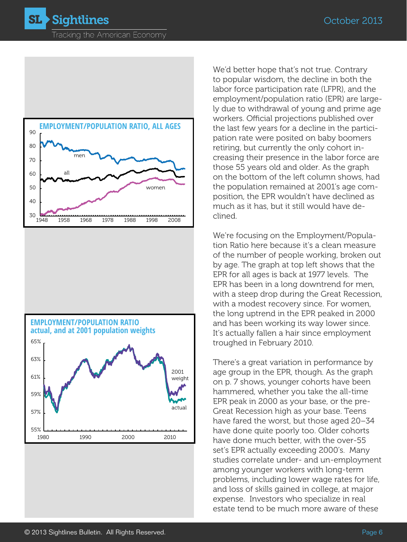**Sightlines** SL )





We'd better hope that's not true. Contrary to popular wisdom, the decline in both the labor force participation rate (LFPR), and the employment/population ratio (EPR) are largely due to withdrawal of young and prime age workers. Official projections published over the last few years for a decline in the participation rate were posited on baby boomers retiring, but currently the only cohort increasing their presence in the labor force are those 55 years old and older. As the graph on the bottom of the left column shows, had the population remained at 2001's age composition, the EPR wouldn't have declined as much as it has, but it still would have declined.

We're focusing on the Employment/Population Ratio here because it's a clean measure of the number of people working, broken out by age. The graph at top left shows that the EPR for all ages is back at 1977 levels. The EPR has been in a long downtrend for men, with a steep drop during the Great Recession, with a modest recovery since. For women, the long uptrend in the EPR peaked in 2000 and has been working its way lower since. It's actually fallen a hair since employment troughed in February 2010.

There's a great variation in performance by age group in the EPR, though. As the graph on p. 7 shows, younger cohorts have been hammered, whether you take the all-time EPR peak in 2000 as your base, or the pre-Great Recession high as your base. Teens have fared the worst, but those aged 20–34 have done quite poorly too. Older cohorts have done much better, with the over-55 set's EPR actually exceeding 2000's. Many studies correlate under- and un-employment among younger workers with long-term problems, including lower wage rates for life, and loss of skills gained in college, at major expense. Investors who specialize in real estate tend to be much more aware of these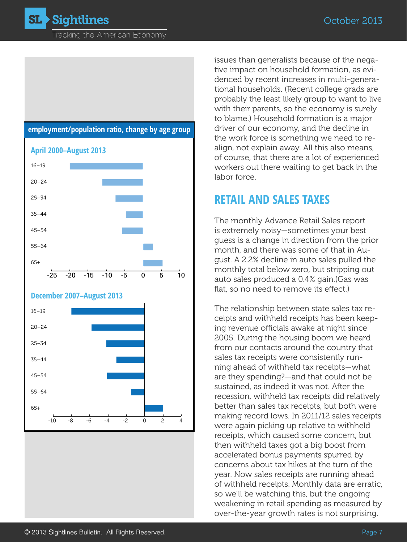Tracking the American Economy



issues than generalists because of the negative impact on household formation, as evidenced by recent increases in multi-generational households. (Recent college grads are probably the least likely group to want to live with their parents, so the economy is surely to blame.) Household formation is a major driver of our economy, and the decline in the work force is something we need to realign, not explain away. All this also means, of course, that there are a lot of experienced workers out there waiting to get back in the labor force.

#### **RETAIL AND SALES TAXES**

The monthly Advance Retail Sales report is extremely noisy—sometimes your best guess is a change in direction from the prior month, and there was some of that in August. A 2.2% decline in auto sales pulled the monthly total below zero, but stripping out auto sales produced a 0.4% gain.(Gas was flat, so no need to remove its effect.)

The relationship between state sales tax receipts and withheld receipts has been keeping revenue officials awake at night since 2005. During the housing boom we heard from our contacts around the country that sales tax receipts were consistently running ahead of withheld tax receipts—what are they spending?—and that could not be sustained, as indeed it was not. After the recession, withheld tax receipts did relatively better than sales tax receipts, but both were making record lows. In 2011/12 sales receipts were again picking up relative to withheld receipts, which caused some concern, but then withheld taxes got a big boost from accelerated bonus payments spurred by concerns about tax hikes at the turn of the year. Now sales receipts are running ahead of withheld receipts. Monthly data are erratic, so we'll be watching this, but the ongoing weakening in retail spending as measured by over-the-year growth rates is not surprising.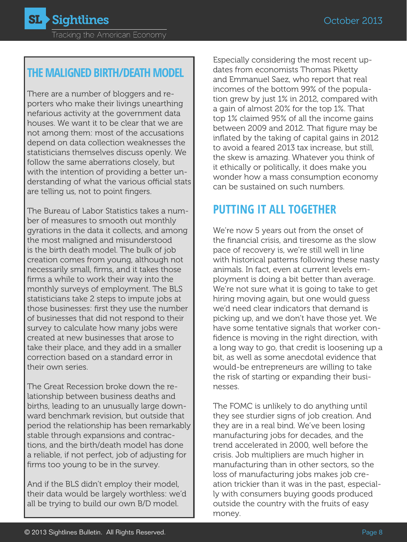# **The maligned BiRth/Death model**

There are a number of bloggers and reporters who make their livings unearthing nefarious activity at the government data houses. We want it to be clear that we are not among them: most of the accusations depend on data collection weaknesses the statisticians themselves discuss openly. We follow the same aberrations closely, but with the intention of providing a better understanding of what the various official stats are telling us, not to point fingers.

The Bureau of Labor Statistics takes a number of measures to smooth out monthly gyrations in the data it collects, and among the most maligned and misunderstood is the birth death model. The bulk of job creation comes from young, although not necessarily small, firms, and it takes those firms a while to work their way into the monthly surveys of employment. The BLS statisticians take 2 steps to impute jobs at those businesses: first they use the number of businesses that did not respond to their survey to calculate how many jobs were created at new businesses that arose to take their place, and they add in a smaller correction based on a standard error in their own series.

The Great Recession broke down the relationship between business deaths and births, leading to an unusually large downward benchmark revision, but outside that period the relationship has been remarkably stable through expansions and contractions, and the birth/death model has done a reliable, if not perfect, job of adjusting for firms too young to be in the survey.

And if the BLS didn't employ their model, their data would be largely worthless: we'd all be trying to build our own B/D model.

Especially considering the most recent updates from economists Thomas Piketty and Emmanuel Saez, who report that real incomes of the bottom 99% of the population grew by just 1% in 2012, compared with a gain of almost 20% for the top 1%. That top 1% claimed 95% of all the income gains between 2009 and 2012. That figure may be inflated by the taking of capital gains in 2012 to avoid a feared 2013 tax increase, but still, the skew is amazing. Whatever you think of it ethically or politically, it does make you wonder how a mass consumption economy can be sustained on such numbers.

# **Putting it all together**

We're now 5 years out from the onset of the financial crisis, and tiresome as the slow pace of recovery is, we're still well in line with historical patterns following these nasty animals. In fact, even at current levels employment is doing a bit better than average. We're not sure what it is going to take to get hiring moving again, but one would guess we'd need clear indicators that demand is picking up, and we don't have those yet. We have some tentative signals that worker confidence is moving in the right direction, with a long way to go, that credit is loosening up a bit, as well as some anecdotal evidence that would-be entrepreneurs are willing to take the risk of starting or expanding their businesses.

The FOMC is unlikely to do anything until they see sturdier signs of job creation. And they are in a real bind. We've been losing manufacturing jobs for decades, and the trend accelerated in 2000, well before the crisis. Job multipliers are much higher in manufacturing than in other sectors, so the loss of manufacturing jobs makes job creation trickier than it was in the past, especially with consumers buying goods produced outside the country with the fruits of easy money.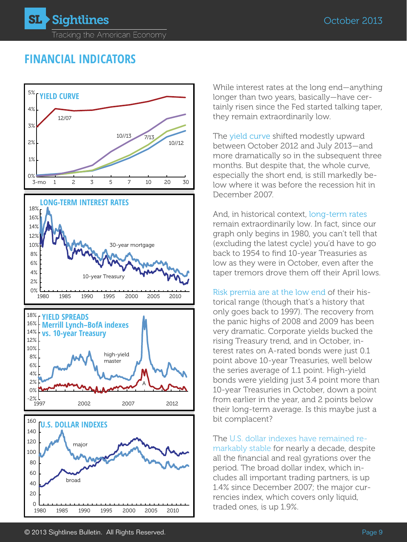# **FINANCIAL INDICATORS**



While interest rates at the long end—anything longer than two years, basically—have certainly risen since the Fed started talking taper, they remain extraordinarily low.

The yield curve shifted modestly upward between October 2012 and July 2013—and more dramatically so in the subsequent three months. But despite that, the whole curve, especially the short end, is still markedly below where it was before the recession hit in December 2007.

And, in historical context, long-term rates remain extraordinarily low. In fact, since our graph only begins in 1980, you can't tell that (excluding the latest cycle) you'd have to go back to 1954 to find 10-year Treasuries as low as they were in October, even after the taper tremors drove them off their April lows.

Risk premia are at the low end of their historical range (though that's a history that only goes back to 1997). The recovery from the panic highs of 2008 and 2009 has been very dramatic. Corporate yields bucked the rising Treasury trend, and in October, interest rates on A-rated bonds were just 0.1 point above 10-year Treasuries, well below the series average of 1.1 point. High-yield bonds were yielding just 3.4 point more than 10-year Treasuries in October, down a point from earlier in the year, and 2 points below their long-term average. Is this maybe just a bit complacent?

The U.S. dollar indexes have remained remarkably stable for nearly a decade, despite all the financial and real gyrations over the period. The broad dollar index, which includes all important trading partners, is up 1.4% since December 2007; the major currencies index, which covers only liquid, traded ones, is up 1.9%.